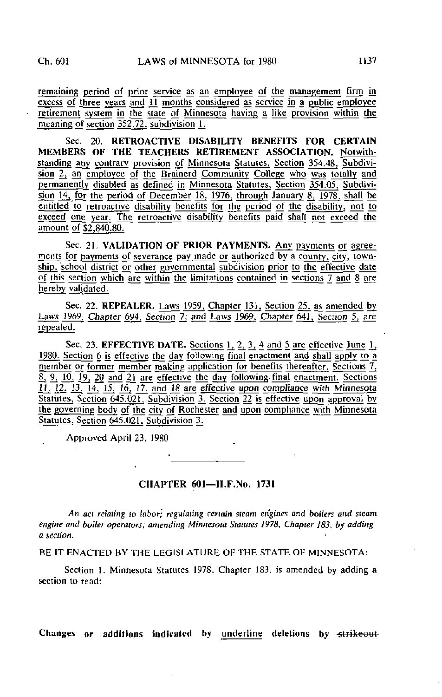remaining period of prior service as an employee of the management firm in  $\frac{1}{\sqrt{2}}$  excess of three years and 11 months considered as service in a public employee retirement system in the state of Minnesota having a like provision within the meaning of section 352.72, subdivision 1.

Sec. 20. RETROACTIVE DISABILITY BENEFITS FOR CERTAIN MEMBERS OF THE TEACHERS RETIREMENT ASSOCIATION. Notwithstanding any contrary provision of Minnesota Statutes, Section 354.48, Subdivision 2, an employee of the Brainerd Community College who was totally and permanently disabled as defined in Minnesota Statutes, Section 354.05, Subdivision  $\frac{14}{15}$ , for the period of December 18, 1976, through January 8, 1978, shall be entitled to retroactive disability benefits for the period of the disability, not to exceed one year. The retroactive disability benefits paid shall not exceed the amount of \$2.840.80.

Sec. 21. VALIDATION OF PRIOR PAYMENTS. Any payments or agreements for payments of severance pay made or authorized by a county, city, township, 'school district or other governmental subdivision prior to the effective date of this section which are within the limitations contained in sections 7 and 8 are hereby validated.

Sec. 22. REPEALER. Laws 1959, Chapter 131, Section 25, as amended by Laws 1969, Chapter 694, Section 7; and Laws 1969, Chapter 641, Section 5, are repealed.

Sec. 23. EFFECTIVE DATE. Sections  $1, 2, 3, 4$  and 5 are effective June  $\overline{1}$ , 1980. Section 6 is effective the day following final enactment and shall apply to a member or former member making application for benefits thereafter. Sections 7,  $8, 9, 10, 19, 20$  and  $21$  are effective the day following- final enactment. Sections  $11, 12, 13, 14, 15, 16, 17,$  and  $18$  are effective upon compliance with Minnesota Statutes, Section 645.021, Subdivision 3. Section 22 is effective upon approval by the governing body of the city of Rochester and upon compliance with Minnesota Statutes, Section 645.021. Subdivision 3.

Approved April 23, 1980

## CHAPTER 601—H.F.No. 1731

An aci relating to labor; regulating certain steam engines and boilers and steam engine and boiler operators; amending Minnesota Statutes 1978, Chapter 183, by adding a section.

BE IT ENACTED BY THE LEGISLATURE OF THE STATE OF MINNESOTA:

Section 1. Minnesota Statutes 1978. Chapter 183. is amended by adding a section to read:

Changes or additions indicated by underline deletions by strikeout